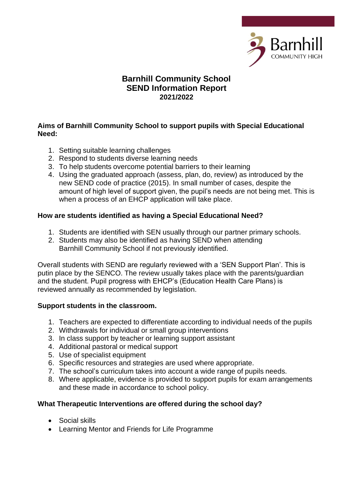

## **Barnhill Community School SEND Information Report 2021/2022**

#### **Aims of Barnhill Community School to support pupils with Special Educational Need:**

- 1. Setting suitable learning challenges
- 2. Respond to students diverse learning needs
- 3. To help students overcome potential barriers to their learning
- 4. Using the graduated approach (assess, plan, do, review) as introduced by the new SEND code of practice (2015). In small number of cases, despite the amount of high level of support given, the pupil's needs are not being met. This is when a process of an EHCP application will take place.

### **How are students identified as having a Special Educational Need?**

- 1. Students are identified with SEN usually through our partner primary schools.
- 2. Students may also be identified as having SEND when attending Barnhill Community School if not previously identified.

Overall students with SEND are regularly reviewed with a 'SEN Support Plan'. This is putin place by the SENCO. The review usually takes place with the parents/guardian and the student. Pupil progress with EHCP's (Education Health Care Plans) is reviewed annually as recommended by legislation.

### **Support students in the classroom.**

- 1. Teachers are expected to differentiate according to individual needs of the pupils
- 2. Withdrawals for individual or small group interventions
- 3. In class support by teacher or learning support assistant
- 4. Additional pastoral or medical support
- 5. Use of specialist equipment
- 6. Specific resources and strategies are used where appropriate.
- 7. The school's curriculum takes into account a wide range of pupils needs.
- 8. Where applicable, evidence is provided to support pupils for exam arrangements and these made in accordance to school policy.

### **What Therapeutic Interventions are offered during the school day?**

- Social skills
- Learning Mentor and Friends for Life Programme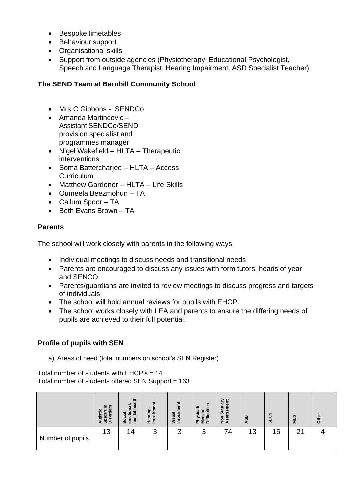- Bespoke timetables
- Behaviour support
- Organisational skills
- Support from outside agencies (Physiotherapy, Educational Psychologist, Speech and Language Therapist, Hearing Impairment, ASD Specialist Teacher)

## **The SEND Team at Barnhill Community School**

- Mrs C Gibbons SENDCo
- Amanda Martincevic Assistant SENDCo/SEND provision specialist and programmes manager
- Nigel Wakefield HLTA Therapeutic interventions
- Soma Batterchariee HLTA Access **Curriculum**
- Matthew Gardener HLTA Life Skills
- Oumeela Beezmohun TA
- Callum Spoor TA
- Beth Evans Brown TA

## **Parents**

The school will work closely with parents in the following ways:

- Individual meetings to discuss needs and transitional needs
- Parents are encouraged to discuss any issues with form tutors, heads of year and SENCO.
- Parents/guardians are invited to review meetings to discuss progress and targets of individuals.
- The school will hold annual reviews for pupils with EHCP.
- The school works closely with LEA and parents to ensure the differing needs of pupils are achieved to their full potential.

# **Profile of pupils with SEN**

a) Areas of need (total numbers on school's SEN Register)

Total number of students with  $E HCP's = 14$ Total number of students offered SEN Support = 163

|                  | <b>S</b><br>ပ<br>ត<br>Ξ<br>Φ<br>ទីទំន័ | त्व<br>æ<br>Socia<br>emot<br>g | ဥ္<br>$\sigma$<br><b>lear</b><br>$\frac{6}{5}$ | Visual<br>Impair | S<br>ී<br>ā<br>ᅕ | $\bar{a}$<br>Star<br>အိ<br>Non<br>Ass | ASD | 중<br>ದ | ≏<br>$\overline{\mathbf{z}}$ | Other |
|------------------|----------------------------------------|--------------------------------|------------------------------------------------|------------------|------------------|---------------------------------------|-----|--------|------------------------------|-------|
| Number of pupils | 13                                     | 14                             | 3                                              | 3                | 3                | 74                                    | 13  | 15     | ⌒                            |       |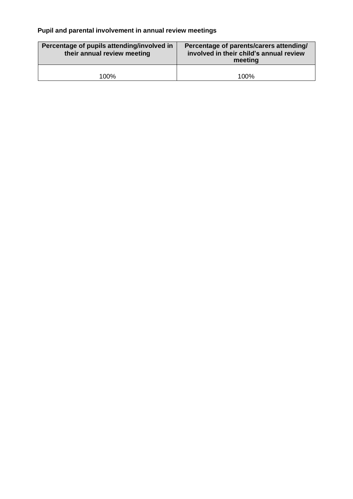## **Pupil and parental involvement in annual review meetings**

| Percentage of pupils attending/involved in<br>their annual review meeting | Percentage of parents/carers attending/<br>involved in their child's annual review<br>meeting |  |  |  |
|---------------------------------------------------------------------------|-----------------------------------------------------------------------------------------------|--|--|--|
| 100%                                                                      | 100%                                                                                          |  |  |  |